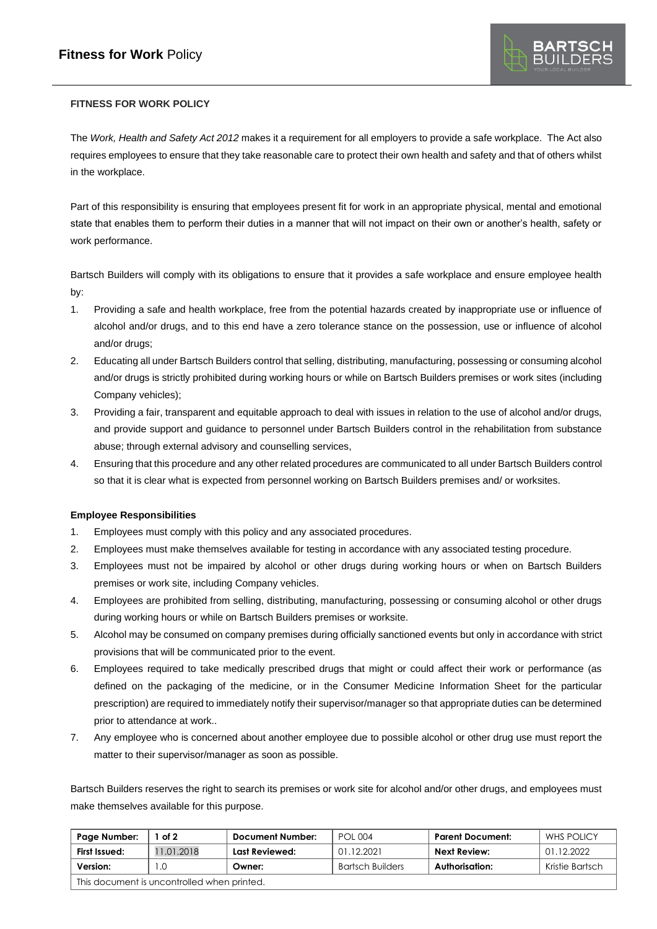

# **FITNESS FOR WORK POLICY**

The *Work, Health and Safety Act 2012* makes it a requirement for all employers to provide a safe workplace. The Act also requires employees to ensure that they take reasonable care to protect their own health and safety and that of others whilst in the workplace.

Part of this responsibility is ensuring that employees present fit for work in an appropriate physical, mental and emotional state that enables them to perform their duties in a manner that will not impact on their own or another's health, safety or work performance.

Bartsch Builders will comply with its obligations to ensure that it provides a safe workplace and ensure employee health by:

- 1. Providing a safe and health workplace, free from the potential hazards created by inappropriate use or influence of alcohol and/or drugs, and to this end have a zero tolerance stance on the possession, use or influence of alcohol and/or drugs;
- 2. Educating all under Bartsch Builders control that selling, distributing, manufacturing, possessing or consuming alcohol and/or drugs is strictly prohibited during working hours or while on Bartsch Builders premises or work sites (including Company vehicles);
- 3. Providing a fair, transparent and equitable approach to deal with issues in relation to the use of alcohol and/or drugs, and provide support and guidance to personnel under Bartsch Builders control in the rehabilitation from substance abuse; through external advisory and counselling services,
- 4. Ensuring that this procedure and any other related procedures are communicated to all under Bartsch Builders control so that it is clear what is expected from personnel working on Bartsch Builders premises and/ or worksites.

## **Employee Responsibilities**

- 1. Employees must comply with this policy and any associated procedures.
- 2. Employees must make themselves available for testing in accordance with any associated testing procedure.
- 3. Employees must not be impaired by alcohol or other drugs during working hours or when on Bartsch Builders premises or work site, including Company vehicles.
- 4. Employees are prohibited from selling, distributing, manufacturing, possessing or consuming alcohol or other drugs during working hours or while on Bartsch Builders premises or worksite.
- 5. Alcohol may be consumed on company premises during officially sanctioned events but only in accordance with strict provisions that will be communicated prior to the event.
- 6. Employees required to take medically prescribed drugs that might or could affect their work or performance (as defined on the packaging of the medicine, or in the Consumer Medicine Information Sheet for the particular prescription) are required to immediately notify their supervisor/manager so that appropriate duties can be determined prior to attendance at work..
- 7. Any employee who is concerned about another employee due to possible alcohol or other drug use must report the matter to their supervisor/manager as soon as possible.

Bartsch Builders reserves the right to search its premises or work site for alcohol and/or other drugs, and employees must make themselves available for this purpose.

| Page Number:                                | of $2$     | <b>Document Number:</b> | POL 004                 | <b>Parent Document:</b> | <b>WHS POLICY</b> |  |  |  |
|---------------------------------------------|------------|-------------------------|-------------------------|-------------------------|-------------------|--|--|--|
| First Issued:                               | 11.01.2018 | Last Reviewed:          | 01.12.2021              | Next Review:            | 01.12.2022        |  |  |  |
| Version:                                    |            | Owner:                  | <b>Bartsch Builders</b> | Authorisation:          | Kristie Bartsch   |  |  |  |
| This document is uncontrolled when printed. |            |                         |                         |                         |                   |  |  |  |